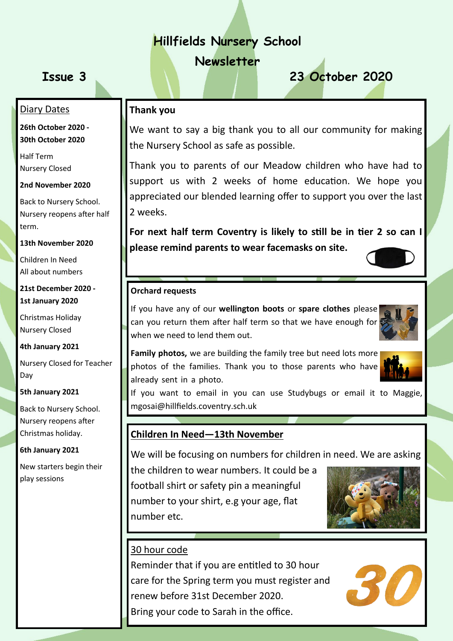## **Hillfields Nursery School**

**Newsletter**

# **Issue 3 23 October 2020**

### **Thank you**

We want to say a big thank you to all our community for making the Nursery School as safe as possible.

Thank you to parents of our Meadow children who have had to support us with 2 weeks of home education. We hope you appreciated our blended learning offer to support you over the last 2 weeks.

**For next half term Coventry is likely to still be in tier 2 so can I please remind parents to wear facemasks on site.** 

# **Orchard requests**

If you have any of our **wellington boots** or **spare clothes** please can you return them after half term so that we have enough for when we need to lend them out.



**Family photos,** we are building the family tree but need lots more photos of the families. Thank you to those parents who have already sent in a photo.



If you want to email in you can use Studybugs or email it to Maggie, mgosai@hillfields.coventry.sch.uk

#### **Children In Need—13th November**

We will be focusing on numbers for children in need. We are asking

the children to wear numbers. It could be a football shirt or safety pin a meaningful number to your shirt, e.g your age, flat number etc.



#### 30 hour code

Reminder that if you are entitled to 30 hour care for the Spring term you must register and renew before 31st December 2020. Bring your code to Sarah in the office.



#### **26th October 2020 - 30th October 2020**

Half Term Nursery Closed

Diary Dates

**2nd November 2020**

Back to Nursery School. Nursery reopens after half term.

#### **13th November 2020**

Children In Need All about numbers

#### **21st December 2020 - 1st January 2020**

Christmas Holiday Nursery Closed

**4th January 2021**

Nursery Closed for Teacher Day

**5th January 2021**

Back to Nursery School. Nursery reopens after Christmas holiday.

#### **6th January 2021**

New starters begin their play sessions